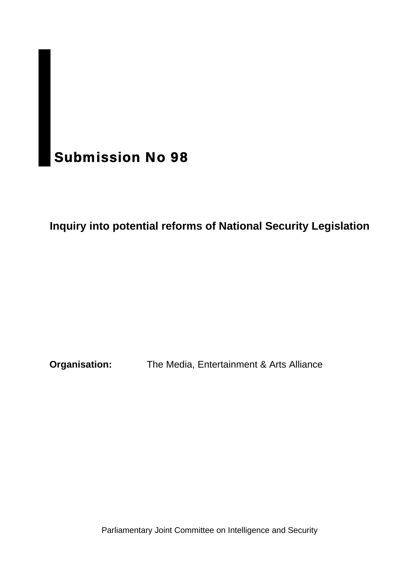# Submission No 98

# **Inquiry into potential reforms of National Security Legislation**

**Organisation:** The Media, Entertainment & Arts Alliance

Parliamentary Joint Committee on Intelligence and Security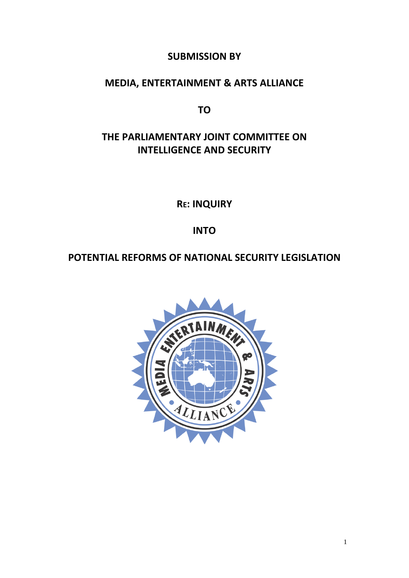## **SUBMISSION BY**

## **MEDIA, ENTERTAINMENT & ARTS ALLIANCE**

**TO**

# **THE PARLIAMENTARY JOINT COMMITTEE ON INTELLIGENCE AND SECURITY**

**RE: INQUIRY**

**INTO**

## **POTENTIAL REFORMS OF NATIONAL SECURITY LEGISLATION**

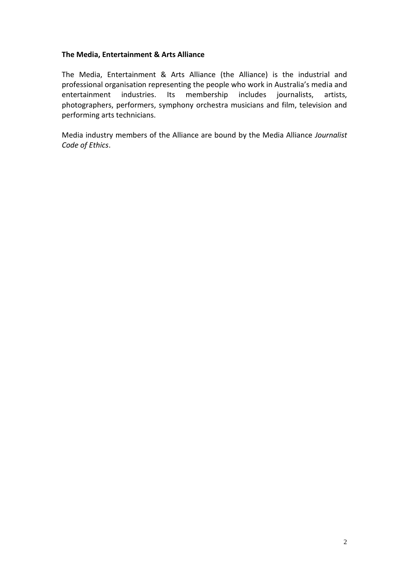#### **The Media, Entertainment & Arts Alliance**

The Media, Entertainment & Arts Alliance (the Alliance) is the industrial and professional organisation representing the people who work in Australia's media and entertainment industries. Its membership includes journalists, artists, photographers, performers, symphony orchestra musicians and film, television and performing arts technicians.

Media industry members of the Alliance are bound by the Media Alliance *Journalist Code of Ethics*.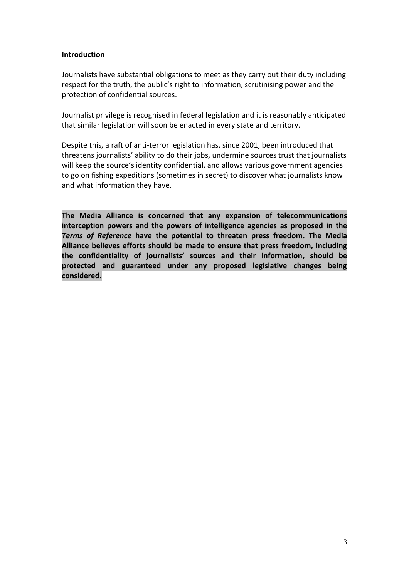#### **Introduction**

Journalists have substantial obligations to meet as they carry out their duty including respect for the truth, the public's right to information, scrutinising power and the protection of confidential sources.

Journalist privilege is recognised in federal legislation and it is reasonably anticipated that similar legislation will soon be enacted in every state and territory.

Despite this, a raft of anti-terror legislation has, since 2001, been introduced that threatens journalists' ability to do their jobs, undermine sources trust that journalists will keep the source's identity confidential, and allows various government agencies to go on fishing expeditions (sometimes in secret) to discover what journalists know and what information they have.

**The Media Alliance is concerned that any expansion of telecommunications interception powers and the powers of intelligence agencies as proposed in the**  *Terms of Reference* **have the potential to threaten press freedom. The Media Alliance believes efforts should be made to ensure that press freedom, including the confidentiality of journalists' sources and their information, should be protected and guaranteed under any proposed legislative changes being considered.**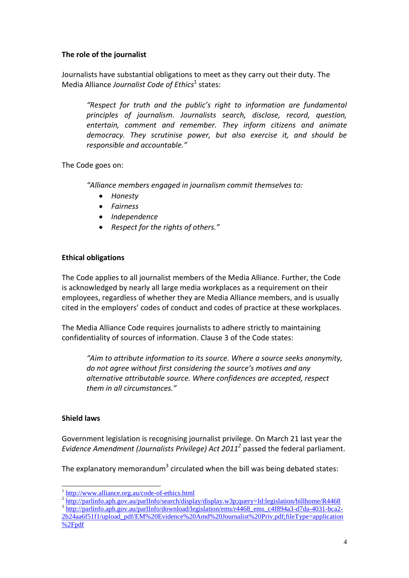#### **The role of the journalist**

Journalists have substantial obligations to meet as they carry out their duty. The Media Alliance Journalist Code of Ethics<sup>1</sup> states:

*"Respect for truth and the public's right to information are fundamental principles of journalism. Journalists search, disclose, record, question, entertain, comment and remember. They inform citizens and animate democracy. They scrutinise power, but also exercise it, and should be responsible and accountable."*

The Code goes on:

*"Alliance members engaged in journalism commit themselves to:*

- *Honesty*
- *Fairness*
- *Independence*
- *Respect for the rights of others."*

#### **Ethical obligations**

The Code applies to all journalist members of the Media Alliance. Further, the Code is acknowledged by nearly all large media workplaces as a requirement on their employees, regardless of whether they are Media Alliance members, and is usually cited in the employers' codes of conduct and codes of practice at these workplaces.

The Media Alliance Code requires journalists to adhere strictly to maintaining confidentiality of sources of information. Clause 3 of the Code states:

*"Aim to attribute information to its source. Where a source seeks anonymity, do not agree without first considering the source's motives and any alternative attributable source. Where confidences are accepted, respect them in all circumstances."*

#### **Shield laws**

Government legislation is recognising journalist privilege. On March 21 last year the *Evidence Amendment (Journalists Privilege) Act 2011<sup>2</sup>* passed the federal parliament.

The explanatory memorandum<sup>3</sup> circulated when the bill was being debated states:

- <sup>2</sup> <http://parlinfo.aph.gov.au/parlInfo/search/display/display.w3p;query=Id:legislation/billhome/R4468>
- <sup>3</sup> [http://parlinfo.aph.gov.au/parlInfo/download/legislation/ems/r4468\\_ems\\_c4f894a3-d7da-4031-bca2-](http://parlinfo.aph.gov.au/parlInfo/download/legislation/ems/r4468_ems_c4f894a3-d7da-4031-bca2-2b24aa6f51f1/upload_pdf/EM%20Evidence%20Amd%20Journalist%20Priv.pdf;fileType=application%2Fpdf) [2b24aa6f51f1/upload\\_pdf/EM%20Evidence%20Amd%20Journalist%20Priv.pdf;fileType=application](http://parlinfo.aph.gov.au/parlInfo/download/legislation/ems/r4468_ems_c4f894a3-d7da-4031-bca2-2b24aa6f51f1/upload_pdf/EM%20Evidence%20Amd%20Journalist%20Priv.pdf;fileType=application%2Fpdf) [%2Fpdf](http://parlinfo.aph.gov.au/parlInfo/download/legislation/ems/r4468_ems_c4f894a3-d7da-4031-bca2-2b24aa6f51f1/upload_pdf/EM%20Evidence%20Amd%20Journalist%20Priv.pdf;fileType=application%2Fpdf)

<sup>&</sup>lt;sup>1</sup> <http://www.alliance.org.au/code-of-ethics.html>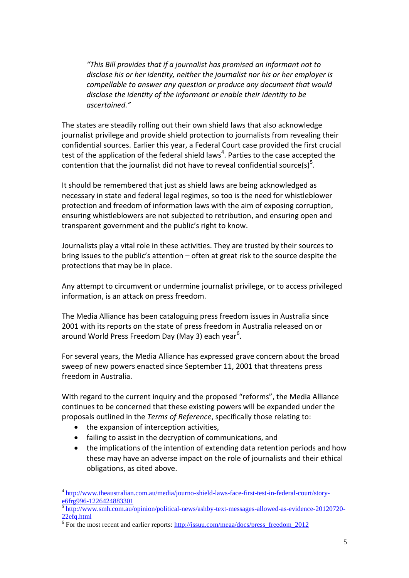*"This Bill provides that if a journalist has promised an informant not to disclose his or her identity, neither the journalist nor his or her employer is compellable to answer any question or produce any document that would disclose the identity of the informant or enable their identity to be ascertained."*

The states are steadily rolling out their own shield laws that also acknowledge journalist privilege and provide shield protection to journalists from revealing their confidential sources. Earlier this year, a Federal Court case provided the first crucial test of the application of the federal shield laws<sup>4</sup>. Parties to the case accepted the contention that the journalist did not have to reveal confidential source(s)<sup>5</sup>.

It should be remembered that just as shield laws are being acknowledged as necessary in state and federal legal regimes, so too is the need for whistleblower protection and freedom of information laws with the aim of exposing corruption, ensuring whistleblowers are not subjected to retribution, and ensuring open and transparent government and the public's right to know.

Journalists play a vital role in these activities. They are trusted by their sources to bring issues to the public's attention – often at great risk to the source despite the protections that may be in place.

Any attempt to circumvent or undermine journalist privilege, or to access privileged information, is an attack on press freedom.

The Media Alliance has been cataloguing press freedom issues in Australia since 2001 with its reports on the state of press freedom in Australia released on or around World Press Freedom Day (May 3) each year<sup>6</sup>.

For several years, the Media Alliance has expressed grave concern about the broad sweep of new powers enacted since September 11, 2001 that threatens press freedom in Australia.

With regard to the current inquiry and the proposed "reforms", the Media Alliance continues to be concerned that these existing powers will be expanded under the proposals outlined in the *Terms of Reference*, specifically those relating to:

• the expansion of interception activities,

-

- failing to assist in the decryption of communications, and
- the implications of the intention of extending data retention periods and how these may have an adverse impact on the role of journalists and their ethical obligations, as cited above.

<sup>&</sup>lt;sup>4</sup> [http://www.theaustralian.com.au/media/journo-shield-laws-face-first-test-in-federal-court/story](http://www.theaustralian.com.au/media/journo-shield-laws-face-first-test-in-federal-court/story-e6frg996-1226424883301)[e6frg996-1226424883301](http://www.theaustralian.com.au/media/journo-shield-laws-face-first-test-in-federal-court/story-e6frg996-1226424883301)

<sup>5</sup> [http://www.smh.com.au/opinion/political-news/ashby-text-messages-allowed-as-evidence-20120720-](http://www.smh.com.au/opinion/political-news/ashby-text-messages-allowed-as-evidence-20120720-22efq.html) [22efq.html](http://www.smh.com.au/opinion/political-news/ashby-text-messages-allowed-as-evidence-20120720-22efq.html)

 $6$  For the most recent and earlier reports: [http://issuu.com/meaa/docs/press\\_freedom\\_2012](http://issuu.com/meaa/docs/press_freedom_2012)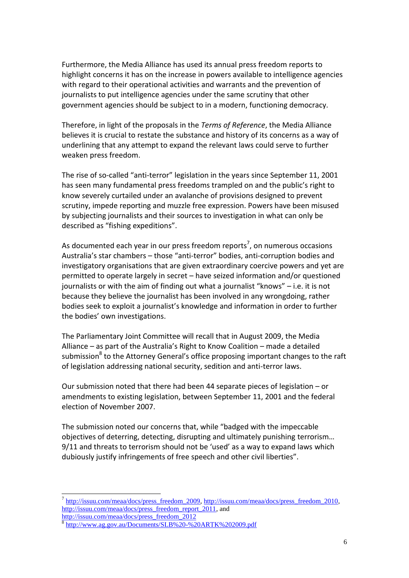Furthermore, the Media Alliance has used its annual press freedom reports to highlight concerns it has on the increase in powers available to intelligence agencies with regard to their operational activities and warrants and the prevention of journalists to put intelligence agencies under the same scrutiny that other government agencies should be subject to in a modern, functioning democracy.

Therefore, in light of the proposals in the *Terms of Reference*, the Media Alliance believes it is crucial to restate the substance and history of its concerns as a way of underlining that any attempt to expand the relevant laws could serve to further weaken press freedom.

The rise of so-called "anti-terror" legislation in the years since September 11, 2001 has seen many fundamental press freedoms trampled on and the public's right to know severely curtailed under an avalanche of provisions designed to prevent scrutiny, impede reporting and muzzle free expression. Powers have been misused by subjecting journalists and their sources to investigation in what can only be described as "fishing expeditions".

As documented each year in our press freedom reports<sup>7</sup>, on numerous occasions Australia's star chambers – those "anti-terror" bodies, anti-corruption bodies and investigatory organisations that are given extraordinary coercive powers and yet are permitted to operate largely in secret – have seized information and/or questioned journalists or with the aim of finding out what a journalist "knows" – i.e. it is not because they believe the journalist has been involved in any wrongdoing, rather bodies seek to exploit a journalist's knowledge and information in order to further the bodies' own investigations.

The Parliamentary Joint Committee will recall that in August 2009, the Media Alliance – as part of the Australia's Right to Know Coalition – made a detailed submission<sup>8</sup> to the Attorney General's office proposing important changes to the raft of legislation addressing national security, sedition and anti-terror laws.

Our submission noted that there had been 44 separate pieces of legislation – or amendments to existing legislation, between September 11, 2001 and the federal election of November 2007.

The submission noted our concerns that, while "badged with the impeccable objectives of deterring, detecting, disrupting and ultimately punishing terrorism… 9/11 and threats to terrorism should not be 'used' as a way to expand laws which dubiously justify infringements of free speech and other civil liberties".

-

<sup>&</sup>lt;sup>7</sup> [http://issuu.com/meaa/docs/press\\_freedom\\_2009,](http://issuu.com/meaa/docs/press_freedom_2009) http://issuu.com/meaa/docs/press\_freedom\_2010, [http://issuu.com/meaa/docs/press\\_freedom\\_report\\_2011,](http://issuu.com/meaa/docs/press_freedom_report_2011) and [http://issuu.com/meaa/docs/press\\_freedom\\_2012](http://issuu.com/meaa/docs/press_freedom_2012)

<sup>8</sup> <http://www.ag.gov.au/Documents/SLB%20-%20ARTK%202009.pdf>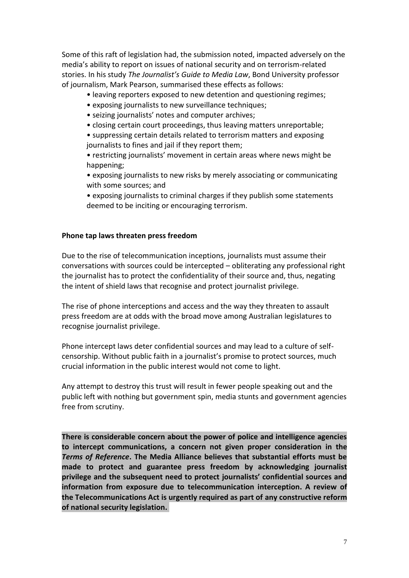Some of this raft of legislation had, the submission noted, impacted adversely on the media's ability to report on issues of national security and on terrorism-related stories. In his study *The Journalist's Guide to Media Law*, Bond University professor of journalism, Mark Pearson, summarised these effects as follows:

- leaving reporters exposed to new detention and questioning regimes;
- exposing journalists to new surveillance techniques;
- seizing journalists' notes and computer archives;
- closing certain court proceedings, thus leaving matters unreportable;

• suppressing certain details related to terrorism matters and exposing journalists to fines and jail if they report them;

• restricting journalists' movement in certain areas where news might be happening;

• exposing journalists to new risks by merely associating or communicating with some sources; and

• exposing journalists to criminal charges if they publish some statements deemed to be inciting or encouraging terrorism.

#### **Phone tap laws threaten press freedom**

Due to the rise of telecommunication inceptions, journalists must assume their conversations with sources could be intercepted – obliterating any professional right the journalist has to protect the confidentiality of their source and, thus, negating the intent of shield laws that recognise and protect journalist privilege.

The rise of phone interceptions and access and the way they threaten to assault press freedom are at odds with the broad move among Australian legislatures to recognise journalist privilege.

Phone intercept laws deter confidential sources and may lead to a culture of selfcensorship. Without public faith in a journalist's promise to protect sources, much crucial information in the public interest would not come to light.

Any attempt to destroy this trust will result in fewer people speaking out and the public left with nothing but government spin, media stunts and government agencies free from scrutiny.

**There is considerable concern about the power of police and intelligence agencies to intercept communications, a concern not given proper consideration in the**  *Terms of Reference***. The Media Alliance believes that substantial efforts must be made to protect and guarantee press freedom by acknowledging journalist privilege and the subsequent need to protect journalists' confidential sources and information from exposure due to telecommunication interception. A review of the Telecommunications Act is urgently required as part of any constructive reform of national security legislation.**